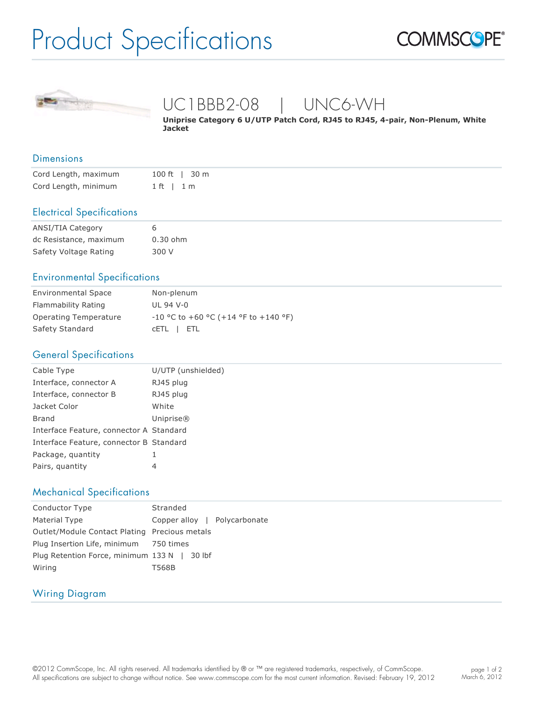# Product Specifications





## UC1BBB2-08 | UNC6-WH

Uniprise Category 6 U/UTP Patch Cord, RJ45 to RJ45, 4-pair, Non-Plenum, White **Jacket**

#### Dimensions

| Cord Length, maximum |              | 100 ft   30 m |
|----------------------|--------------|---------------|
| Cord Length, minimum | $1 ft + 1 m$ |               |

#### Electrical Specifications

| ANSI/TIA Category      |            |
|------------------------|------------|
| dc Resistance, maximum | $0.30$ ohm |
| Safety Voltage Rating  | 300 V      |

#### Environmental Specifications

| <b>Environmental Space</b> | Non-plenum                             |
|----------------------------|----------------------------------------|
| Flammability Rating        | UL 94 V-0                              |
| Operating Temperature      | $-10$ °C to +60 °C (+14 °F to +140 °F) |
| Safety Standard            | CETL   ETL                             |

#### General Specifications

| Cable Type                              | U/UTP (unshielded) |
|-----------------------------------------|--------------------|
| Interface, connector A                  | RJ45 plug          |
| Interface, connector B                  | RJ45 plug          |
| Jacket Color                            | White              |
| <b>Brand</b>                            | Uniprise®          |
| Interface Feature, connector A Standard |                    |
| Interface Feature, connector B Standard |                    |
| Package, quantity                       |                    |
| Pairs, quantity                         | 4                  |

#### Mechanical Specifications

| <b>Conductor Type</b>                         | Stranded                     |
|-----------------------------------------------|------------------------------|
| Material Type                                 | Copper alloy   Polycarbonate |
| Outlet/Module Contact Plating Precious metals |                              |
| Plug Insertion Life, minimum 750 times        |                              |
| Plug Retention Force, minimum 133 N   30 lbf  |                              |
| Wiring                                        | T568B                        |

#### Wiring Diagram